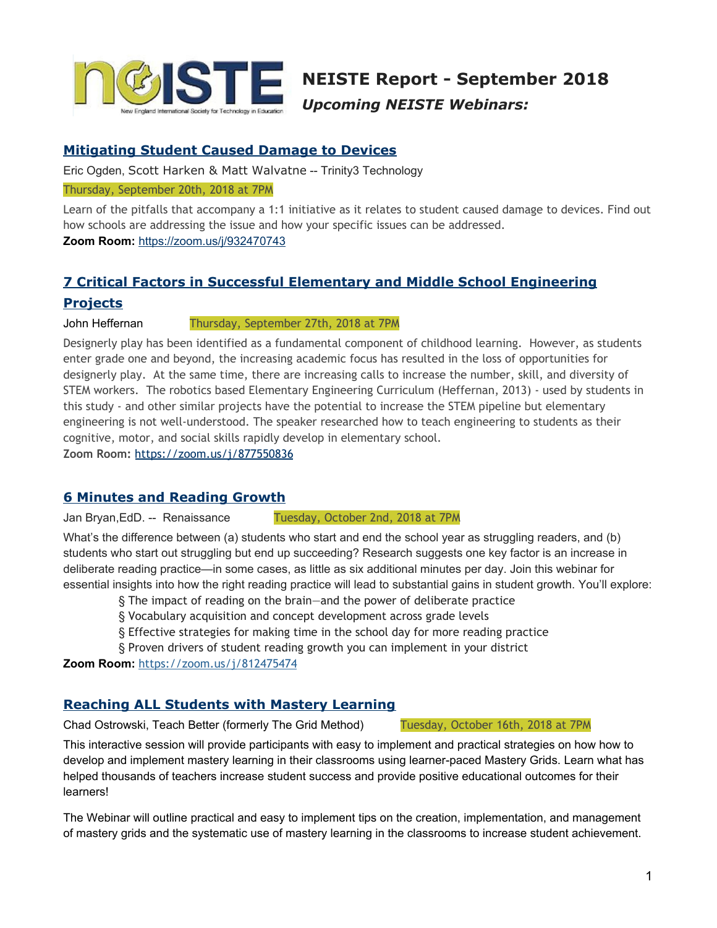

**NEISTE Report - September 2018** *Upcoming NEISTE Webinars:*

## **[Mitigating](http://app.blh441.net/click?ld=ccwiOe1Euo6k%2FeRcPQslWV4Aai%2BZdBf7%2Bclc5Izi3pgjtCTihP17wXggiZ9PgmE5v6PEYcP%2F7tAHNEl5vb6ajdSJK3448ENXYqnhtPHzuM5r7vKI70bOic4oZV1mNC1e8nuxaywsLKEKQddQwLPcnlsZ7ccM1WUhJqvgsG9l7E0KMnmoRbU1qw%3D%3Do) Student Caused Damage to Devices**

Eric Ogden, Scott Harken & Matt Walvatne -- Trinity3 Technology

#### Thursday, September 20th, 2018 at 7PM

Learn of the pitfalls that accompany a 1:1 initiative as it relates to student caused damage to devices. Find out how schools are addressing the issue and how your specific issues can be addressed. **Zoom Room:** [https://zoom.us/j/932470743](http://app.blh441.net/click?ld=ccwiOe1Euo6k%2FeRcPQslWV4Aai%2BZdBf7%2Bclc5Izi3pgJuixsqLobghMKwaOv7OO7D%2BI28eYujNwKMnmoRbU1qw%3D%3Do)

# **7 Critical Factors in Successful Elementary and Middle School [Engineering](http://app.blh441.net/click?ld=ccwiOe1Euo6k%2FeRcPQslWV4Aai%2BZdBf7%2Bclc5Izi3pgjtCTihP17wXggiZ9PgmE5v6PEYcP%2F7tAHNEl5vb6ajdH5ma75al%2FU2mamI2X4F5SiAwNgeCDt63ot8xO9AKlXfQ%2B%2Fqcm64LYwMAAqSiUBrlfhJBSPVmlZJqvgsG9l7E0KMnmoRbU1qw%3D%3Do) [Projects](http://app.blh441.net/click?ld=ccwiOe1Euo6k%2FeRcPQslWV4Aai%2BZdBf7%2Bclc5Izi3pgjtCTihP17wXggiZ9PgmE5v6PEYcP%2F7tAHNEl5vb6ajdH5ma75al%2FU2mamI2X4F5SiAwNgeCDt63ot8xO9AKlXfQ%2B%2Fqcm64LYwMAAqSiUBrlfhJBSPVmlZJqvgsG9l7E0KMnmoRbU1qw%3D%3Do)**

#### John Heffernan Thursday, September 27th, 2018 at 7PM

Designerly play has been identified as a fundamental component of childhood learning. However, as students enter grade one and beyond, the increasing academic focus has resulted in the loss of opportunities for designerly play. At the same time, there are increasing calls to increase the number, skill, and diversity of STEM workers. The robotics based Elementary Engineering Curriculum (Heffernan, 2013) - used by students in this study - and other similar projects have the potential to increase the STEM pipeline but elementary engineering is not well-understood. The speaker researched how to teach engineering to students as their cognitive, motor, and social skills rapidly develop in elementary school.

**Zoom Room:** [https://zoom.us/j/877550836](http://app.blh441.net/click?ld=ccwiOe1Euo6k%2FeRcPQslWV4Aai%2BZdBf7%2Bclc5Izi3pgJuixsqLobghEBg8Mu4SYGmOunTvRoAnIKMnmoRbU1qw%3D%3Do)

### **6 Minutes and [Reading](http://app.blh441.net/click?ld=ccwiOe1Euo6k%2FeRcPQslWV4Aai%2BZdBf7%2Bclc5Izi3pgjtCTihP17wXggiZ9PgmE5v6PEYcP%2F7tAHNEl5vb6ajdH5ma75al%2FUCwOmbqc6V%2Fip4d%2BafBVvRoHQT8TFv5CskPYwu9odjvLHfo0Tx5jo794DGxyF5NzMJqvgsG9l7E0KMnmoRbU1qw%3D%3Do) Growt[h](http://app.blh441.net/click?ld=ccwiOe1Euo6k%2FeRcPQslWV4Aai%2BZdBf7%2Bclc5Izi3pgjtCTihP17wXggiZ9PgmE5v6PEYcP%2F7tAHNEl5vb6ajdH5ma75al%2FUCwOmbqc6V%2Fip4d%2BafBVvRoHQT8TFv5CskPYwu9odjvLHfo0Tx5jo794DGxyF5NzMJqvgsG9l7E0KMnmoRbU1qw%3D%3Do)**

Jan Bryan,EdD. -- Renaissance Tuesday, October 2nd, 2018 at 7PM

What's the difference between (a) students who start and end the school year as struggling readers, and (b) students who start out struggling but end up succeeding? Research suggests one key factor is an increase in deliberate reading practice—in some cases, as little as six additional minutes per day. Join this webinar for essential insights into how the right reading practice will lead to substantial gains in student growth. You'll explore:

- § The impact of reading on the brain—and the power of deliberate practice
- § Vocabulary acquisition and concept development across grade levels
- § Effective strategies for making time in the school day for more reading practice
- § Proven drivers of student reading growth you can implement in your district

**Zoom Room:** [https://zoom.us/j/812475474](http://app.blh441.net/click?ld=ccwiOe1Euo6k%2FeRcPQslWV4Aai%2BZdBf7%2Bclc5Izi3pgJuixsqLobghEBg8Mu4SYG%2FLYSaTHrDzkKMnmoRbU1qw%3D%3Do)

### **[Reaching](http://app.blh441.net/click?ld=ccwiOe1Euo6k%2FeRcPQslWV4Aai%2BZdBf7%2Bclc5Izi3pgjtCTihP17wXggiZ9PgmE5v6PEYcP%2F7tAHNEl5vb6ajdSJK3448ENXEMwycPy0CqFCHkAo52EGb2HdbWu9B0XAD8IW90Q4J%2FVtLi88jKrN9RL%2BrzKGLD5nJqvgsG9l7E0KMnmoRbU1qw%3D%3Do) ALL Students with Mastery Learning**

Chad Ostrowski, Teach Better (formerly The Grid Method) Tuesday, October 16th, 2018 at 7PM

This interactive session will provide participants with easy to implement and practical strategies on how how to develop and implement mastery learning in their classrooms using learner-paced Mastery Grids. Learn what has helped thousands of teachers increase student success and provide positive educational outcomes for their learners!

The Webinar will outline practical and easy to implement tips on the creation, implementation, and management of mastery grids and the systematic use of mastery learning in the classrooms to increase student achievement.